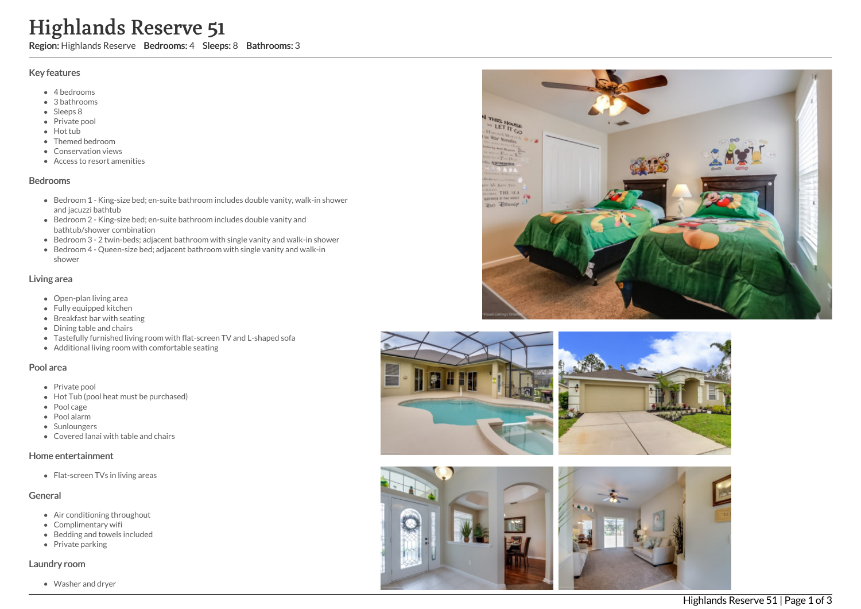# Highlands Reserve 51

Region: Highlands Reserve Bedrooms: 4 Sleeps: 8 Bathrooms: 3

#### Key features

- 4 b e d r o o m s
- 3 b a t h r o o m s
- Sleeps 8
- Private pool
- Hot tub
- Themed bed r o o m
- Conservation views
- Access to resort amenities

#### **Bedrooms**

- Bedroom 1 King-size bed; en-suite bathroom includes double vanity, walk-in shower a n d j a c u z zi b a t h t u b
- Bedroom 2 King-size bed; en-suite bathroom includes double vanity and bathtub/shower combination
- Bedroom 3 2 twin-beds; adjacent bathroom with single vanity and walk-in shower
- Bedroom 4 Queen-size bed; adjacent bathroom with single vanity and walk-in s h o w e r

#### Living area

- Open-plan living area
- Fully equipped kitchen
- Breakfast bar with seating
- Dining table and chairs
- Tastefully furnished living room with flat-screen TV and L-shaped sofa
- Additional living room with comfortable seating

#### Pool area

- Private pool
- Hot Tub (pool heat must be purchased)
- Pool cage
- P o ol ala r m
- **Sunloungers**
- Covered lanai with table and chairs

#### Home entertainment

Flat-screen TVs in living areas

#### General

- Air conditioning throughout
- Complimentary wifi
- Bedding and towels in clu d e d
- Private parking

#### Laundry room

Washer and dryer





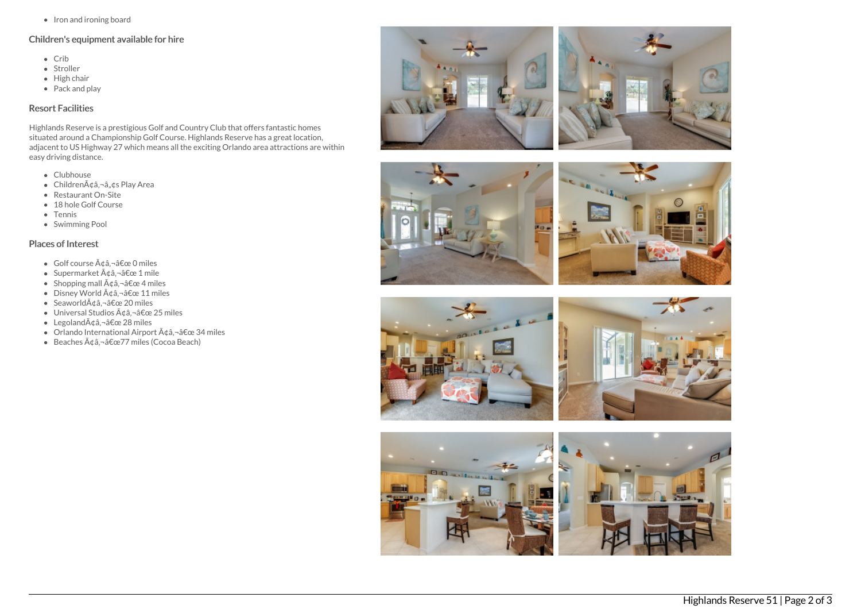• Iron and ironing board

# Children's equipment available for hire

- Crib
- Stroller
- $\bullet$  High chair
- Pack and play

## Resort Facilities

Highlands Reserve is a prestigious Golf and Country Club that offers fantastic homes situated around a Championship Golf Course. Highlands Reserve has a great location, adjacent to US Highway 27 which means all the exciting Orlando area attractions are within easy driving distance.

- Clubhouse
- $\bullet$  Children $\tilde{A} \notin \hat{a}$ ,  $\neg \hat{a}$ ,  $\neg \xi$ s Play Area
- Restaurant On-Site
- 18 hole Golf Course
- Tennis
- Swimming Pool

## Places of Interest

- $\bullet$  Golf course  $\tilde{A}$ câ.  $\neg$ â $\epsilon$ œ 0 miles
- Supermarket  $\tilde{A}$ ¢â,¬â€œ 1 mile
- Shopping mall  $\tilde{A} \notin \hat{a}$ ,  $\neg \hat{a} \notin \text{ce } 4$  miles
- $\bullet$  Disney World  $\tilde{A} \notin \hat{a}$ ,  $\neg \hat{a} \in \text{ce} 11$  miles
- Seaworld $\tilde{A}$ ¢â,¬â€œ 20 miles
- $\bullet$  Universal Studios  $\tilde{A} \hat{\tau}$ a,  $-\hat{a} \in \mathbb{C}$ e 25 miles
- Legoland $\tilde{A}$ ¢â,¬â€œ 28 miles
- $\bullet$  Orlando International Airport  $\tilde{A} \notin \hat{a}$ ,  $\exists \in \infty$  34 miles
- $\cdot$  Beaches  $\tilde{A} \notin \hat{a}$ ,  $\neg$  $\hat{a} \in \mathbb{C}$  are niles (Cocoa Beach)